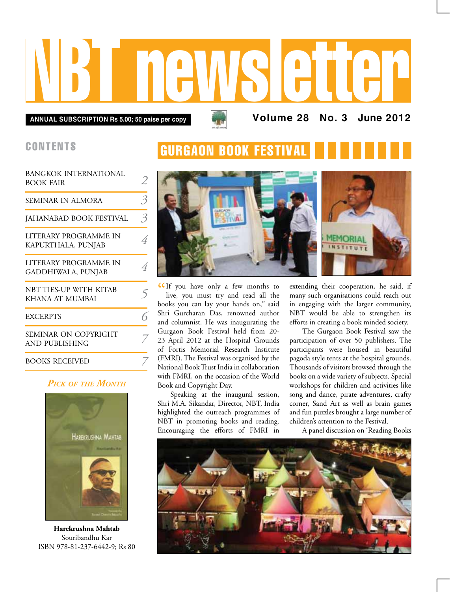# NBT newsletter

**GURGAON BOOK FESTIV/** 

**Annual subscription Rs 5.00; 50 paise per copy Volume 28 No. 3 June 2012**

## **CONTENTS**

| BANGKOK INTERNATIONAL<br><b>BOOK FAIR</b>   | 2                        |
|---------------------------------------------|--------------------------|
| SEMINAR IN ALMORA                           | $\overline{\mathcal{E}}$ |
| JAHANABAD BOOK FESTIVAL                     | 3                        |
| LITERARY PROGRAMME IN<br>KAPURTHALA, PUNJAB | 4                        |
| LITERARY PROGRAMME IN<br>GADDHIWALA, PUNJAB | $\overline{4}$           |
| NBT TIES-UP WITH KITAB<br>KHANA AT MUMBAI   | 5                        |
| <b>EXCERPTS</b>                             |                          |
| SEMINAR ON COPYRIGHT<br>AND PUBLISHING      |                          |
| <b>BOOKS RECEIVED</b>                       |                          |

## *Pick of the Month*



**Harekrushna Mahtab** Souribandhu Kar ISBN 978-81-237-6442-9; Rs 80



CIf you have only a few months to live, you must try and read all the live, you must try and read all the books you can lay your hands on," said Shri Gurcharan Das, renowned author and columnist. He was inaugurating the Gurgaon Book Festival held from 20- 23 April 2012 at the Hospital Grounds of Fortis Memorial Research Institute (FMRI). The Festival was organised by the National Book Trust India in collaboration with FMRI, on the occasion of the World Book and Copyright Day.

Speaking at the inaugural session, Shri M.A. Sikandar, Director, NBT, India highlighted the outreach programmes of NBT in promoting books and reading. Encouraging the efforts of FMRI in

extending their cooperation, he said, if many such organisations could reach out in engaging with the larger community, NBT would be able to strengthen its efforts in creating a book minded society.

The Gurgaon Book Festival saw the participation of over 50 publishers. The participants were housed in beautiful pagoda style tents at the hospital grounds. Thousands of visitors browsed through the books on a wide variety of subjects. Special workshops for children and activities like song and dance, pirate adventures, crafty corner, Sand Art as well as brain games and fun puzzles brought a large number of children's attention to the Festival.

A panel discussion on 'Reading Books

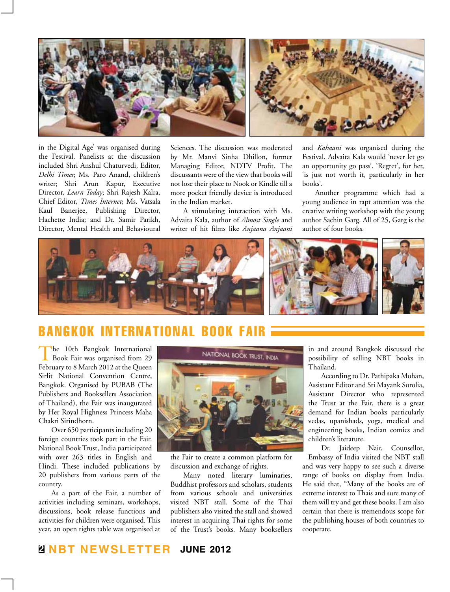

in the Digital Age' was organised during the Festival. Panelists at the discussion included Shri Anshul Chaturvedi, Editor, *Delhi Times*; Ms. Paro Anand, children's writer; Shri Arun Kapur, Executive Director, *Learn Today*; Shri Rajesh Kalra, Chief Editor, *Times Internet*; Ms. Vatsala Kaul Banerjee, Publishing Director, Hachette India; and Dr. Samir Parikh, Director, Mental Health and Behavioural Sciences. The discussion was moderated by Mr. Manvi Sinha Dhillon, former Managing Editor, NDTV Profit. The discussants were of the view that books will not lose their place to Nook or Kindle till a more pocket friendly device is introduced in the Indian market.

A stimulating interaction with Ms. Advaita Kala, author of *Almost Single* and writer of hit films like *Anjaana Anjaani* and *Kahaani* was organised during the Festival. Advaita Kala would 'never let go an opportunity go pass'. 'Regret', for her, 'is just not worth it, particularly in her books'.

Another programme which had a young audience in rapt attention was the creative writing workshop with the young author Sachin Garg. All of 25, Garg is the author of four books.



# bangkok international Book Fair

The 10th Bangkok International Book Fair was organised from 29 February to 8 March 2012 at the Queen Sirlit National Convention Centre, Bangkok. Organised by PUBAB (The Publishers and Booksellers Association of Thailand), the Fair was inaugurated by Her Royal Highness Princess Maha Chakri Sirindhorn.

Over 650 participants including 20 foreign countries took part in the Fair. National Book Trust, India participated with over 263 titles in English and

Hindi. These included publications by 20 publishers from various parts of the country.

As a part of the Fair, a number of activities including seminars, workshops, discussions, book release functions and activities for children were organised. This year, an open rights table was organised at



the Fair to create a common platform for discussion and exchange of rights.

Many noted literary luminaries, Buddhist professors and scholars, students from various schools and universities visited NBT stall. Some of the Thai publishers also visited the stall and showed interest in acquiring Thai rights for some of the Trust's books. Many booksellers

in and around Bangkok discussed the possibility of selling NBT books in Thailand.

According to Dr. Pathipaka Mohan, Assistant Editor and Sri Mayank Surolia, Assistant Director who represented the Trust at the Fair, there is a great demand for Indian books particularly vedas, upanishads, yoga, medical and engineering books, Indian comics and children's literature.

Dr. Jaideep Nair, Counsellor, Embassy of India visited the NBT stall and was very happy to see such a diverse range of books on display from India. He said that, "Many of the books are of extreme interest to Thais and sure many of them will try and get these books. I am also certain that there is tremendous scope for the publishing houses of both countries to cooperate.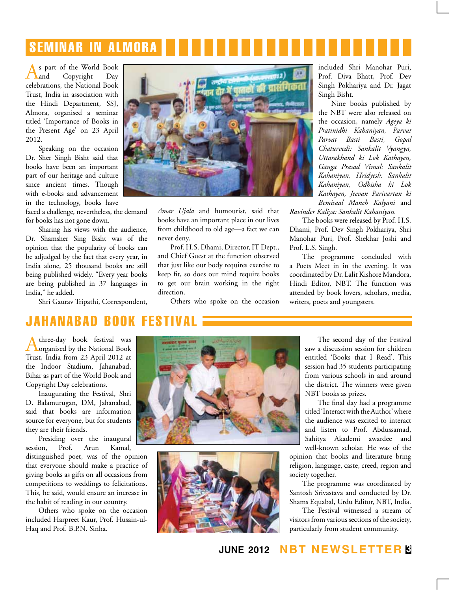# seminar in almora

s part of the World Book<br>and Copyright Day Copyright celebrations, the National Book Trust, India in association with the Hindi Department, SSJ, Almora, organised a seminar titled 'Importance of Books in the Present Age' on 23 April 2012.

Speaking on the occasion Dr. Sher Singh Bisht said that books have been an important part of our heritage and culture since ancient times. Though with e-books and advancement in the technology, books have

faced a challenge, nevertheless, the demand for books has not gone down.

Sharing his views with the audience, Dr. Shamsher Sing Bisht was of the opinion that the popularity of books can be adjudged by the fact that every year, in India alone, 25 thousand books are still being published widely. "Every year books are being published in 37 languages in India," he added.

Shri Gaurav Tripathi, Correspondent,



*Amar Ujala* and humourist, said that books have an important place in our lives from childhood to old age—a fact we can never deny.

Prof. H.S. Dhami, Director, IT Dept., and Chief Guest at the function observed that just like our body requires exercise to keep fit, so does our mind require books to get our brain working in the right direction.

Others who spoke on the occasion

included Shri Manohar Puri, Prof. Diva Bhatt, Prof. Dev Singh Pokhariya and Dr. Jagat Singh Bisht.

Nine books published by the NBT were also released on the occasion, namely *Ageya ki Pratinidhi Kahaniyan, Parvat Parvat Basti Basti, Gopal Chaturvedi: Sankalit Vyangya, Uttarakhand ki Lok Kathayen, Ganga Prasad Vimal: Sankalit Kahaniyan, Hridyesh: Sankalit Kahaniyan, Odhisha ki Lok Kathayen, Jeevan Parivartan ki Bemisaal Manch Kalyani* and

*Ravinder Kaliya: Sankalit Kahaniyan.*

The books were released by Prof. H.S. Dhami, Prof. Dev Singh Pokhariya, Shri Manohar Puri, Prof. Shekhar Joshi and Prof. L.S. Singh.

The programme concluded with a Poets Meet in in the evening. It was coordinated by Dr. Lalit Kishore Mandora, Hindi Editor, NBT. The function was attended by book lovers, scholars, media, writers, poets and youngsters.

# jahanabad book festival

Athree-day book festival was organised by the National Book Trust, India from 23 April 2012 at the Indoor Stadium, Jahanabad, Bihar as part of the World Book and Copyright Day celebrations.

Inaugurating the Festival, Shri D. Balamurugan, DM, Jahanabad, said that books are information source for everyone, but for students they are their friends.

Presiding over the inaugural session, Prof. Arun Kamal, distinguished poet, was of the opinion that everyone should make a practice of giving books as gifts on all occasions from competitions to weddings to felicitations. This, he said, would ensure an increase in the habit of reading in our country.

Others who spoke on the occasion included Harpreet Kaur, Prof. Husain-ul-Haq and Prof. B.P.N. Sinha.





The second day of the Festival saw a discussion session for children entitled 'Books that I Read'. This session had 35 students participating from various schools in and around the district. The winners were given NBT books as prizes.

The final day had a programme titled 'Interact with the Author' where the audience was excited to interact and listen to Prof. Abdussamad, Sahitya Akademi awardee and well-known scholar. He was of the

opinion that books and literature bring religion, language, caste, creed, region and society together.

The programme was coordinated by Santosh Srivastava and conducted by Dr. Shams Equabal, Urdu Editor, NBT, India.

The Festival witnessed a stream of visitors from various sections of the society, particularly from student community.

## **june 2012 NBT Newsletter 3**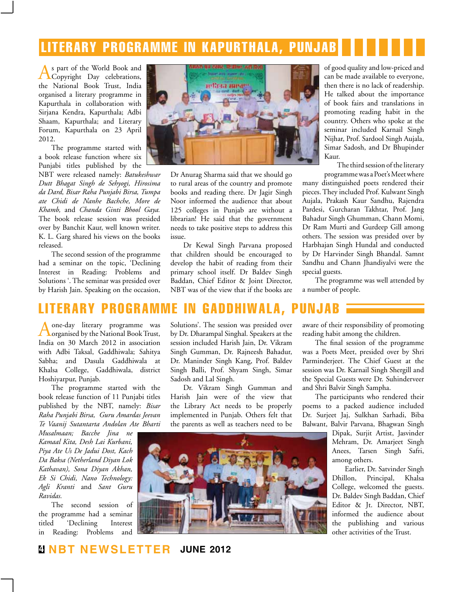# literary programme in kapurthala, punjab

As part of the World Book and Copyright Day celebrations, the National Book Trust, India organised a literary programme in Kapurthala in collaboration with Sirjana Kendra, Kapurthala; Adbi Shaam, Kapurthala; and Literary Forum, Kapurthala on 23 April 2012.

The programme started with a book release function where six Punjabi titles published by the

NBT were released namely: *Batukeshwar Dutt Bhagat Singh de Sehyogi, Hirosima da Dard, Bisar Raha Punjabi Birsa, Tumpa ate Chidi de Nanhe Bachche, More de Khamb,* and *Chanda Ginti Bhool Gaya.*  The book release session was presided over by Banchit Kaur, well known writer. K. L. Garg shared his views on the books released.

The second session of the programme had a seminar on the topic, 'Declining Interest in Reading: Problems and Solutions '. The seminar was presided over by Harish Jain. Speaking on the occasion,



Dr Anurag Sharma said that we should go to rural areas of the country and promote books and reading there. Dr Jagir Singh Noor informed the audience that about 125 colleges in Punjab are without a librarian! He said that the government needs to take positive steps to address this issue.

Dr Kewal Singh Parvana proposed that children should be encouraged to develop the habit of reading from their primary school itself. Dr Baldev Singh Baddan, Chief Editor & Joint Director, NBT was of the view that if the books are of good quality and low-priced and can be made available to everyone, then there is no lack of readership. He talked about the importance of book fairs and translations in promoting reading habit in the country. Others who spoke at the seminar included Karnail Singh Nijhar, Prof. Sardool Singh Aujala, Simar Sadosh, and Dr Bhupinder Kaur.

The third session of the literary programme was a Poet's Meet where

many distinguished poets rendered their pieces. They included Prof. Kulwant Singh Aujala, Prakash Kaur Sandhu, Rajendra Pardesi, Gurcharan Takhtar, Prof. Jang Bahadur Singh Ghumman, Chann Momi, Dr Ram Murti and Gurdeep Gill among others. The session was presided over by Harbhajan Singh Hundal and conducted by Dr Harvinder Singh Bhandal. Samnt Sandhu and Chann Jhandiyalvi were the special guests.

The programme was well attended by a number of people.

# literary programme in gaddhiwala, punjab

Aone-day literary programme was organised by the National Book Trust, India on 30 March 2012 in association with Adbi Taksal, Gaddhiwala; Sahitya Sabha; and Dasula Gaddhiwala at Khalsa College, Gaddhiwala, district Hoshiyarpur, Punjab.

The programme started with the book release function of 11 Punjabi titles published by the NBT, namely: *Bisar Raha Punjabi Birsa, Guru Amardas Jeevan Te Vaanij Sutantarta Andolan Ate Bharti* 

*Musalmaan; Bacche Jina ne Kamaal Kita, Desh Lai Kurbani, Piya Ate Us De Jadui Dost, Kach Da Baksa (Netherland Diyan Lok Kathavan), Sona Diyan Akhan, Ek Si Chidi, Nano Technology: Agli Kranti* and *Sant Guru Ravidas.*

The second session of the programme had a seminar titled 'Declining Interest in Reading: Problems and

Solutions'. The session was presided over by Dr. Dharampal Singhal. Speakers at the session included Harish Jain, Dr. Vikram Singh Gumman, Dr. Rajneesh Bahadur, Dr. Maninder Singh Kang, Prof. Baldev Singh Balli, Prof. Shyam Singh, Simar Sadosh and Lal Singh.

Dr. Vikram Singh Gumman and Harish Jain were of the view that the Library Act needs to be properly implemented in Punjab. Others felt that the parents as well as teachers need to be

aware of their responsibility of promoting reading habit among the children.

The final session of the programme was a Poets Meet, presided over by Shri Parminderjeet. The Chief Guest at the session was Dr. Karnail Singh Shergill and the Special Guests were Dr. Suhinderveer and Shri Balvir Singh Sampha.

The participants who rendered their poems to a packed audience included Dr. Surjeet Jaj, Sulkhan Sarhadi, Biba Balwant, Balvir Parvana, Bhagwan Singh

> Dipak, Surjit Artist, Jasvinder Mehram, Dr. Amarjeet Singh Anees, Tarsen Singh Safri, among others.

Earlier, Dr. Satvinder Singh Dhillon, Principal, Khalsa College, welcomed the guests. Dr. Baldev Singh Baddan, Chief Editor & Jt. Director, NBT, informed the audience about the publishing and various other activities of the Trust.

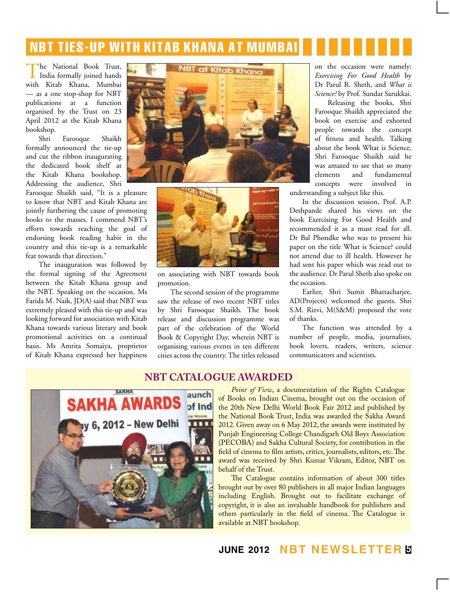# NBT ties-up with kitab khana at mumbai

The National Book Trust, India formally joined hands with Kitab Khana, Mumbai — as a one stop-shop for NBT publications at a function organised by the Trust on 23 April 2012 at the Kitab Khana bookshop.

Shri Farooque Shaikh formally announced the tie-up and cut the ribbon inaugurating the dedicated book shelf at the Kitab Khana bookshop. Addressing the audience, Shri

Farooque Shaikh said, "It is a pleasure to know that NBT and Kitab Khana are jointly furthering the cause of promoting books to the masses. I commend NBT's efforts towards reaching the goal of endorsing book reading habit in the country and this tie-up is a remarkable feat towards that direction."

The inauguration was followed by the formal signing of the Agreement between the Kitab Khana group and the NBT. Speaking on the occasion, Ms Farida M. Naik, JD(A) said that NBT was extremely pleased with this tie-up and was looking forward for association with Kitab Khana towards various literary and book promotional activities on a continual basis. Ms Amrita Somaiya, proprietor of Kitab Khana expressed her happiness





on associating with NBT towards book promotion.

The second session of the programme saw the release of two recent NBT titles by Shri Farooque Shaikh. The book release and discussion programme was part of the celebration of the World Book & Copyright Day, wherein NBT is organising various events in ten different cities across the country. The titles released

on the occasion were namely: *Exercising For Good Health* by Dr Parul R. Sheth, and *What is Science?* by Prof. Sundar Sarukkai.

Releasing the books, Shri Farooque Shaikh appreciated the book on exercise and exhorted people towards the concept of fitness and health. Talking about the book What is Science, Shri Farooque Shaikh said he was amazed to see that so many elements and fundamental concepts were involved in

understanding a subject like this.

In the discussion session, Prof. A.P. Deshpande shared his views on the book Exercising For Good Health and recommended it as a must read for all. Dr Bal Phondke who was to present his paper on the title What is Science? could not attend due to ill health. However he had sent his paper which was read out to the audience. Dr Parul Sheth also spoke on the occasion.

Earlier, Shri Sumit Bhattacharjee, AD(Projects) welcomed the guests. Shri S.M. Rizvi, M(S&M) proposed the vote of thanks.

The function was attended by a number of people, media, journalists, book lovers, readers, writers, science communicators and scientists.

## **nbt catalogue awarded**



*Point of View*, a documentation of the Rights Catalogue of Books on Indian Cinema, brought out on the occasion of the 20th New Delhi World Book Fair 2012 and published by the National Book Trust, India was awarded the Sakha Award 2012. Given away on 6 May 2012, the awards were instituted by Punjab Engineering College Chandigarh Old Boys Association (PECOBA) and Sakha Cultural Society, for contribution in the field of cinema to film artists, critics, journalists, editors, etc. The award was received by Shri Kumar Vikram, Editor, NBT on behalf of the Trust.

The Catalogue contains information of about 300 titles brought out by over 80 publishers in all major Indian languages including English. Brought out to facilitate exchange of copyright, it is also an invaluable handbook for publishers and others particularly in the field of cinema. The Catalogue is available at NBT bookshop.

**june 2012 NBT Newsletter 5**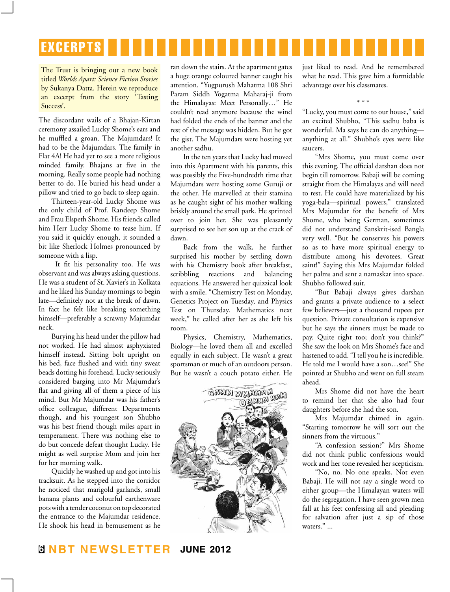# **EXCERPTS**

The Trust is bringing out a new book titled *Worlds Apart: Science Fiction Stories* by Sukanya Datta. Herein we reproduce an excerpt from the story 'Tasting Success'.

The discordant wails of a Bhajan-Kirtan ceremony assailed Lucky Shome's ears and he muffled a groan. The Majumdars! It had to be the Majumdars. The family in Flat 4A! He had yet to see a more religious minded family. Bhajans at five in the morning. Really some people had nothing better to do. He buried his head under a pillow and tried to go back to sleep again.

Thirteen-year-old Lucky Shome was the only child of Prof. Randeep Shome and Frau Elspeth Shome. His friends called him Herr Lucky Shome to tease him. If you said it quickly enough, it sounded a bit like Sherlock Holmes pronounced by someone with a lisp.

It fit his personality too. He was observant and was always asking questions. He was a student of St. Xavier's in Kolkata and he liked his Sunday mornings to begin late—definitely not at the break of dawn. In fact he felt like breaking something himself—preferably a scrawny Majumdar neck.

Burying his head under the pillow had not worked. He had almost asphyxiated himself instead. Sitting bolt upright on his bed, face flushed and with tiny sweat beads dotting his forehead, Lucky seriously considered barging into Mr Majumdar's flat and giving all of them a piece of his mind. But Mr Majumdar was his father's office colleague, different Departments though, and his youngest son Shubho was his best friend though miles apart in temperament. There was nothing else to do but concede defeat thought Lucky. He might as well surprise Mom and join her for her morning walk.

Quickly he washed up and got into his tracksuit. As he stepped into the corridor he noticed that marigold garlands, small banana plants and colourful earthenware pots with a tender coconut on top decorated the entrance to the Majumdar residence. He shook his head in bemusement as he

ran down the stairs. At the apartment gates a huge orange coloured banner caught his attention. "Yugpurush Mahatma 108 Shri Param Siddh Yogatma Maharaj-ji from the Himalayas: Meet Personally…" He couldn't read anymore because the wind had folded the ends of the banner and the rest of the message was hidden. But he got the gist. The Majumdars were hosting yet another sadhu.

In the ten years that Lucky had moved into this Apartment with his parents, this was possibly the Five-hundredth time that Majumdars were hosting some Guruji or the other. He marvelled at their stamina as he caught sight of his mother walking briskly around the small park. He sprinted over to join her. She was pleasantly surprised to see her son up at the crack of dawn.

Back from the walk, he further surprised his mother by settling down with his Chemistry book after breakfast, scribbling reactions and balancing equations. He answered her quizzical look with a smile. "Chemistry Test on Monday, Genetics Project on Tuesday, and Physics Test on Thursday. Mathematics next week," he called after her as she left his room.

Physics, Chemistry, Mathematics, Biology—he loved them all and excelled equally in each subject. He wasn't a great sportsman or much of an outdoors person. But he wasn't a couch potato either. He



just liked to read. And he remembered what he read. This gave him a formidable advantage over his classmates.

\* \* \* "Lucky, you must come to our house," said an excited Shubho, "This sadhu baba is wonderful. Ma says he can do anything anything at all." Shubho's eyes were like saucers.

"Mrs Shome, you must come over this evening. The official darshan does not begin till tomorrow. Babaji will be coming straight from the Himalayas and will need to rest. He could have materialized by his yoga-bala—spiritual powers," translated Mrs Majumdar for the benefit of Mrs Shome, who being German, sometimes did not understand Sanskrit-ised Bangla very well. "But he conserves his powers so as to have more spiritual energy to distribute among his devotees. Great saint!" Saying this Mrs Majumdar folded her palms and sent a namaskar into space. Shubho followed suit.

"But Babaji always gives darshan and grants a private audience to a select few believers—just a thousand rupees per question. Private consultation is expensive but he says the sinners must be made to pay. Quite right too; don't you think?" She saw the look on Mrs Shome's face and hastened to add. "I tell you he is incredible. He told me I would have a son…see!" She pointed at Shubho and went on full steam ahead.

Mrs Shome did not have the heart to remind her that she also had four daughters before she had the son.

Mrs Majumdar chimed in again. "Starting tomorrow he will sort out the sinners from the virtuous."

"A confession session?" Mrs Shome did not think public confessions would work and her tone revealed her scepticism.

"No, no. No one speaks. Not even Babaji. He will not say a single word to either group—the Himalayan waters will do the segregation. I have seen grown men fall at his feet confessing all and pleading for salvation after just a sip of those waters." ...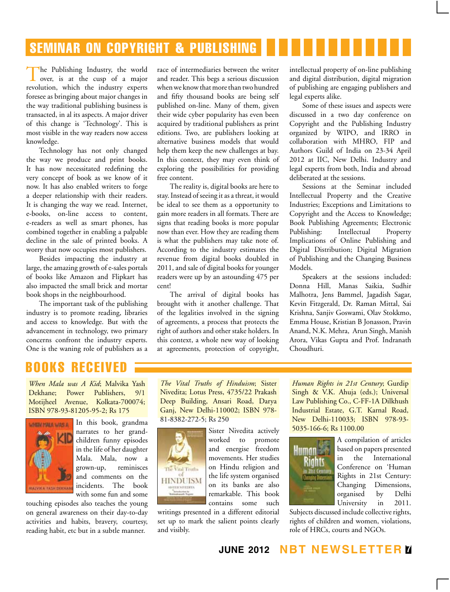# seminar on copyright & publishing

The Publishing Industry, the world over, is at the cusp of a major revolution, which the industry experts foresee as bringing about major changes in the way traditional publishing business is transacted, in al its aspects. A major driver of this change is 'Technology'. This is most visible in the way readers now access knowledge.

Technology has not only changed the way we produce and print books. It has now necessitated redefining the very concept of book as we know of it now. It has also enabled writers to forge a deeper relationship with their readers. It is changing the way we read. Internet, e-books, on-line access to content, e-readers as well as smart phones, has combined together in enabling a palpable decline in the sale of printed books. A worry that now occupies most publishers.

Besides impacting the industry at large, the amazing growth of e-sales portals of books like Amazon and Flipkart has also impacted the small brick and mortar book shops in the neighbourhood.

The important task of the publishing industry is to promote reading, libraries and access to knowledge. But with the advancement in technology, two primary concerns confront the industry experts. One is the waning role of publishers as a race of intermediaries between the writer and reader. This begs a serious discussion when we know that more than two hundred and fifty thousand books are being self published on-line. Many of them, given their wide cyber popularity has even been acquired by traditional publishers as print editions. Two, are publishers looking at alternative business models that would help them keep the new challenges at bay. In this context, they may even think of exploring the possibilities for providing free content.

The reality is, digital books are here to stay. Instead of seeing it as a threat, it would be ideal to see them as a opportunity to gain more readers in all formats. There are signs that reading books is more popular now than ever. How they are reading them is what the publishers may take note of. According to the industry estimates the revenue from digital books doubled in 2011, and sale of digital books for younger readers were up by an astounding 475 per cent!

The arrival of digital books has brought with it another challenge. That of the legalities involved in the signing of agreements, a process that protects the right of authors and other stake holders. In this context, a whole new way of looking at agreements, protection of copyright,

intellectual property of on-line publishing and digital distribution, digital migration of publishing are engaging publishers and legal experts alike.

Some of these issues and aspects were discussed in a two day conference on Copyright and the Publishing Industry organized by WIPO, and IRRO in collaboration with MHRO, FIP and Authors Guild of India on 23-34 April 2012 at IIC, New Delhi. Industry and legal experts from both, India and abroad deliberated at the sessions.

Sessions at the Seminar included Intellectual Property and the Creative Industries; Exceptions and Limitations to Copyright and the Access to Knowledge; Book Publishing Agreements; Electronic Publishing: Intellectual Property Implications of Online Publishing and Digital Distribution; Digital Migration of Publishing and the Changing Business Models.

Speakers at the sessions included: Donna Hill, Manas Saikia, Sudhir Malhotra, Jens Bammel, Jagadish Sagar, Kevin Fitzgerald, Dr. Raman Mittal, Sai Krishna, Sanjiv Goswami, Olav Stokkmo, Emma House, Kristian B Jonasson, Pravin Anand, N.K. Mehra, Arun Singh, Manish Arora, Vikas Gupta and Prof. Indranath Choudhuri.

# books received

*When Mala was A Kid*; Malvika Yash Dekhane; Power Publishers, 9/1 Motijheel Avenue, Kolkata-700074; ISBN 978-93-81205-95-2; Rs 175



In this book, grandma narrates to her grandchildren funny episodes in the life of her daughter Mala. Mala, now a grown-up, reminisces and comments on the incidents. The book with some fun and some

touching episodes also teaches the young on general awareness on their day-to-day activities and habits, bravery, courtesy, reading habit, etc but in a subtle manner.

*The Vital Truths of Hinduism*; Sister Nivedita; Lotus Press, 4735/22 Prakash Deep Building, Ansari Road, Darya Ganj, New Delhi-110002; ISBN 978- 81-8382-272-5; Rs 250



Sister Nivedita actively worked to promote and energise freedom movements. Her studies on Hindu religion and the life system organised on its banks are also remarkable. This book contains some such

writings presented in a different editorial set up to mark the salient points clearly and visibly.

*Human Rights in 21st Century*; Gurdip Singh & V.K. Ahuja (eds.); Universal Law Publishing Co., C-FF-1A Dilkhush Industrial Estate, G.T. Karnal Road, New Delhi-110033; ISBN 978-93- 5035-166-6; Rs 1100.00



A compilation of articles based on papers presented in the International Conference on 'Human Rights in 21st Century: Changing Dimensions, organised by Delhi University in 2011.

Subjects discussed include collective rights, rights of children and women, violations, role of HRCs, courts and NGOs.

## **june 2012 NBT Newsletter 7**